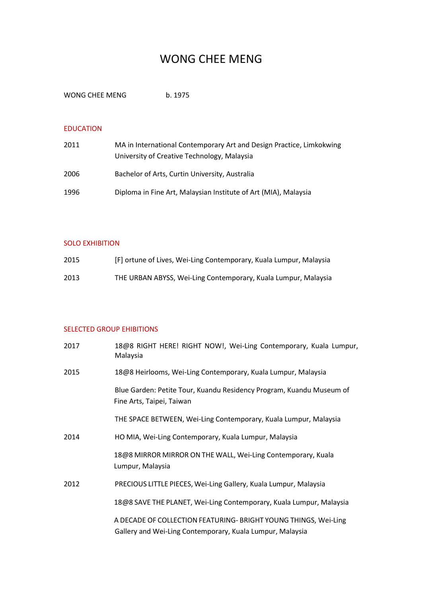# WONG CHEE MENG

WONG CHEE MENG b. 1975

## EDUCATION

| 2011 | MA in International Contemporary Art and Design Practice, Limkokwing<br>University of Creative Technology, Malaysia |
|------|---------------------------------------------------------------------------------------------------------------------|
| 2006 | Bachelor of Arts, Curtin University, Australia                                                                      |
| 1996 | Diploma in Fine Art, Malaysian Institute of Art (MIA), Malaysia                                                     |

### SOLO EXHIBITION

| 2015 | [F] ortune of Lives, Wei-Ling Contemporary, Kuala Lumpur, Malaysia |
|------|--------------------------------------------------------------------|
| 2013 | THE URBAN ABYSS, Wei-Ling Contemporary, Kuala Lumpur, Malaysia     |

# SELECTED GROUP EHIBITIONS

| 2017 | 18@8 RIGHT HERE! RIGHT NOW!, Wei-Ling Contemporary, Kuala Lumpur,<br>Malaysia                                                |
|------|------------------------------------------------------------------------------------------------------------------------------|
| 2015 | 18@8 Heirlooms, Wei-Ling Contemporary, Kuala Lumpur, Malaysia                                                                |
|      | Blue Garden: Petite Tour, Kuandu Residency Program, Kuandu Museum of<br>Fine Arts, Taipei, Taiwan                            |
|      | THE SPACE BETWEEN, Wei-Ling Contemporary, Kuala Lumpur, Malaysia                                                             |
| 2014 | HO MIA, Wei-Ling Contemporary, Kuala Lumpur, Malaysia                                                                        |
|      | 18@8 MIRROR MIRROR ON THE WALL, Wei-Ling Contemporary, Kuala<br>Lumpur, Malaysia                                             |
| 2012 | PRECIOUS LITTLE PIECES, Wei-Ling Gallery, Kuala Lumpur, Malaysia                                                             |
|      | 18@8 SAVE THE PLANET, Wei-Ling Contemporary, Kuala Lumpur, Malaysia                                                          |
|      | A DECADE OF COLLECTION FEATURING- BRIGHT YOUNG THINGS, Wei-Ling<br>Gallery and Wei-Ling Contemporary, Kuala Lumpur, Malaysia |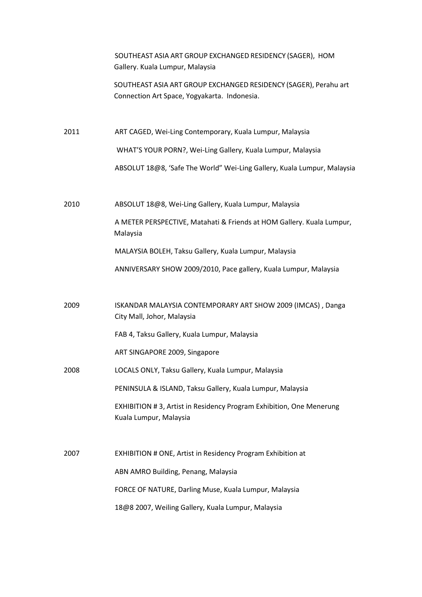| SOUTHEAST ASIA ART GROUP EXCHANGED RESIDENCY (SAGER), HOM |  |
|-----------------------------------------------------------|--|
| Gallery. Kuala Lumpur, Malaysia                           |  |

SOUTHEAST ASIA ART GROUP EXCHANGED RESIDENCY (SAGER), Perahu art Connection Art Space, Yogyakarta. Indonesia.

2011 ART CAGED, Wei-Ling Contemporary, Kuala Lumpur, Malaysia

WHAT'S YOUR PORN?, Wei-Ling Gallery, Kuala Lumpur, Malaysia

ABSOLUT 18@8, 'Safe The World" Wei-Ling Gallery, Kuala Lumpur, Malaysia

2010 ABSOLUT 18@8, Wei-Ling Gallery, Kuala Lumpur, Malaysia

A METER PERSPECTIVE, Matahati & Friends at HOM Gallery. Kuala Lumpur, Malaysia

MALAYSIA BOLEH, Taksu Gallery, Kuala Lumpur, Malaysia

ANNIVERSARY SHOW 2009/2010, Pace gallery, Kuala Lumpur, Malaysia

2009 ISKANDAR MALAYSIA CONTEMPORARY ART SHOW 2009 (IMCAS) , Danga City Mall, Johor, Malaysia

FAB 4, Taksu Gallery, Kuala Lumpur, Malaysia

ART SINGAPORE 2009, Singapore

2008 LOCALS ONLY, Taksu Gallery, Kuala Lumpur, Malaysia

PENINSULA & ISLAND, Taksu Gallery, Kuala Lumpur, Malaysia

EXHIBITION # 3, Artist in Residency Program Exhibition, One Menerung Kuala Lumpur, Malaysia

2007 EXHIBITION # ONE, Artist in Residency Program Exhibition at ABN AMRO Building, Penang, Malaysia FORCE OF NATURE, Darling Muse, Kuala Lumpur, Malaysia 18@8 2007, Weiling Gallery, Kuala Lumpur, Malaysia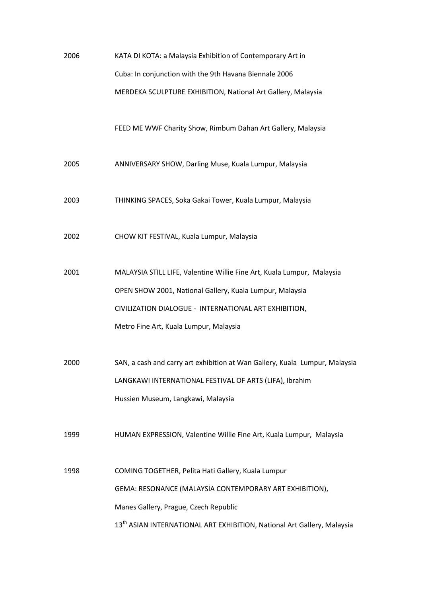| 2006 | KATA DI KOTA: a Malaysia Exhibition of Contemporary Art in                          |
|------|-------------------------------------------------------------------------------------|
|      | Cuba: In conjunction with the 9th Havana Biennale 2006                              |
|      | MERDEKA SCULPTURE EXHIBITION, National Art Gallery, Malaysia                        |
|      |                                                                                     |
|      | FEED ME WWF Charity Show, Rimbum Dahan Art Gallery, Malaysia                        |
| 2005 | ANNIVERSARY SHOW, Darling Muse, Kuala Lumpur, Malaysia                              |
|      |                                                                                     |
| 2003 | THINKING SPACES, Soka Gakai Tower, Kuala Lumpur, Malaysia                           |
|      |                                                                                     |
| 2002 | CHOW KIT FESTIVAL, Kuala Lumpur, Malaysia                                           |
| 2001 | MALAYSIA STILL LIFE, Valentine Willie Fine Art, Kuala Lumpur, Malaysia              |
|      | OPEN SHOW 2001, National Gallery, Kuala Lumpur, Malaysia                            |
|      | CIVILIZATION DIALOGUE - INTERNATIONAL ART EXHIBITION,                               |
|      | Metro Fine Art, Kuala Lumpur, Malaysia                                              |
|      |                                                                                     |
| 2000 | SAN, a cash and carry art exhibition at Wan Gallery, Kuala Lumpur, Malaysia         |
|      | LANGKAWI INTERNATIONAL FESTIVAL OF ARTS (LIFA), Ibrahim                             |
|      | Hussien Museum, Langkawi, Malaysia                                                  |
| 1999 |                                                                                     |
|      | HUMAN EXPRESSION, Valentine Willie Fine Art, Kuala Lumpur, Malaysia                 |
| 1998 | COMING TOGETHER, Pelita Hati Gallery, Kuala Lumpur                                  |
|      | GEMA: RESONANCE (MALAYSIA CONTEMPORARY ART EXHIBITION),                             |
|      | Manes Gallery, Prague, Czech Republic                                               |
|      | 13 <sup>th</sup> ASIAN INTERNATIONAL ART EXHIBITION, National Art Gallery, Malaysia |